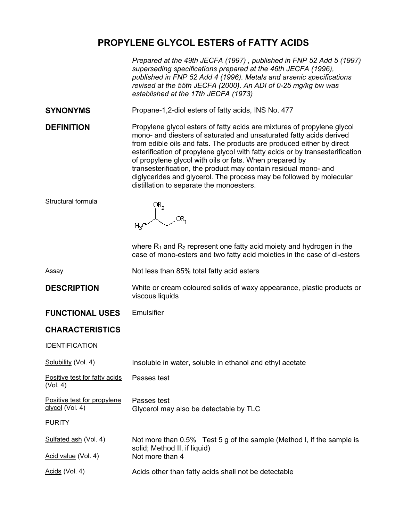# **PROPYLENE GLYCOL ESTERS of FATTY ACIDS**

*Prepared at the 49th JECFA (1997) , published in FNP 52 Add 5 (1997) superseding specifications prepared at the 46th JECFA (1996), published in FNP 52 Add 4 (1996). Metals and arsenic specifications revised at the 55th JECFA (2000). An ADI of 0-25 mg/kg bw was established at the 17th JECFA (1973)* 

**SYNONYMS** Propane-1,2-diol esters of fatty acids, INS No. 477

**DEFINITION** Propylene give a Propylene sters of fatty acids are mixtures of propylene giveol mono- and diesters of saturated and unsaturated fatty acids derived from edible oils and fats. The products are produced either by direct esterification of propylene glycol with fatty acids or by transesterification of propylene glycol with oils or fats. When prepared by transesterification, the product may contain residual mono- and diglycerides and glycerol. The process may be followed by molecular distillation to separate the monoesters.

Structural formula

 $OR<sub>2</sub>$ OR<sub>1</sub>  $H_2C$ 

where  $R_1$  and  $R_2$  represent one fatty acid moiety and hydrogen in the case of mono-esters and two fatty acid moieties in the case of di-esters

Assay Not less than 85% total fatty acid esters

**DESCRIPTION** White or cream coloured solids of waxy appearance, plastic products or viscous liquids

**FUNCTIONAL USES** Emulsifier

## **CHARACTERISTICS**

IDENTIFICATION

| Solubility (Vol. 4)                            | Insoluble in water, soluble in ethanol and ethyl acetate                                              |
|------------------------------------------------|-------------------------------------------------------------------------------------------------------|
| Positive test for fatty acids<br>(Vol. 4)      | Passes test                                                                                           |
| Positive test for propylene<br>glycol (Vol. 4) | Passes test<br>Glycerol may also be detectable by TLC                                                 |
| <b>PURITY</b>                                  |                                                                                                       |
| Sulfated ash (Vol. 4)                          | Not more than 0.5% Test 5 g of the sample (Method I, if the sample is<br>solid; Method II, if liquid) |
| Acid value (Vol. 4)                            | Not more than 4                                                                                       |
| Acids (Vol. 4)                                 | Acids other than fatty acids shall not be detectable                                                  |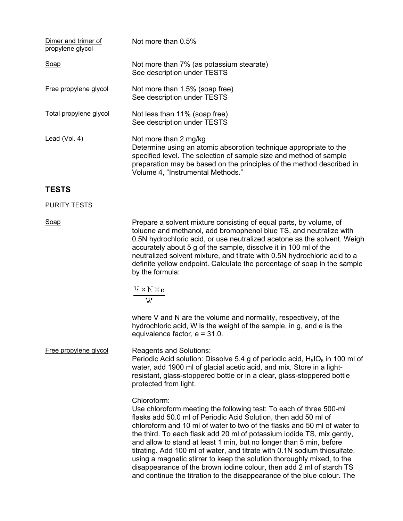| Dimer and trimer of<br>propylene glycol | Not more than $0.5\%$                                                                                                                                                                                                                                                          |
|-----------------------------------------|--------------------------------------------------------------------------------------------------------------------------------------------------------------------------------------------------------------------------------------------------------------------------------|
| Soap                                    | Not more than 7% (as potassium stearate)<br>See description under TESTS                                                                                                                                                                                                        |
| Free propylene glycol                   | Not more than 1.5% (soap free)<br>See description under TESTS                                                                                                                                                                                                                  |
| Total propylene glycol                  | Not less than 11% (soap free)<br>See description under TESTS                                                                                                                                                                                                                   |
| Lead (Vol. 4)                           | Not more than 2 mg/kg<br>Determine using an atomic absorption technique appropriate to the<br>specified level. The selection of sample size and method of sample<br>preparation may be based on the principles of the method described in<br>Volume 4, "Instrumental Methods." |
| <b>TESTS</b>                            |                                                                                                                                                                                                                                                                                |

#### PURITY TESTS

Soap Soap Prepare a solvent mixture consisting of equal parts, by volume, of toluene and methanol, add bromophenol blue TS, and neutralize with 0.5N hydrochloric acid, or use neutralized acetone as the solvent. Weigh accurately about 5 g of the sample, dissolve it in 100 ml of the neutralized solvent mixture, and titrate with 0.5N hydrochloric acid to a definite yellow endpoint. Calculate the percentage of soap in the sample by the formula:

$$
\frac{1}{\Lambda \times N \times \varepsilon}
$$

where V and N are the volume and normality, respectively, of the hydrochloric acid, W is the weight of the sample, in g, and e is the equivalence factor, e = 31.0.

Free propylene glycol Reagents and Solutions: Periodic Acid solution: Dissolve 5.4 g of periodic acid,  $H_5IO_6$  in 100 ml of water, add 1900 ml of glacial acetic acid, and mix. Store in a lightresistant, glass-stoppered bottle or in a clear, glass-stoppered bottle protected from light.

## Chloroform:

Use chloroform meeting the following test: To each of three 500-ml flasks add 50.0 ml of Periodic Acid Solution, then add 50 ml of chloroform and 10 ml of water to two of the flasks and 50 ml of water to the third. To each flask add 20 ml of potassium iodide TS, mix gently, and allow to stand at least 1 min, but no longer than 5 min, before titrating. Add 100 ml of water, and titrate with 0.1N sodium thiosulfate, using a magnetic stirrer to keep the solution thoroughly mixed, to the disappearance of the brown iodine colour, then add 2 ml of starch TS and continue the titration to the disappearance of the blue colour. The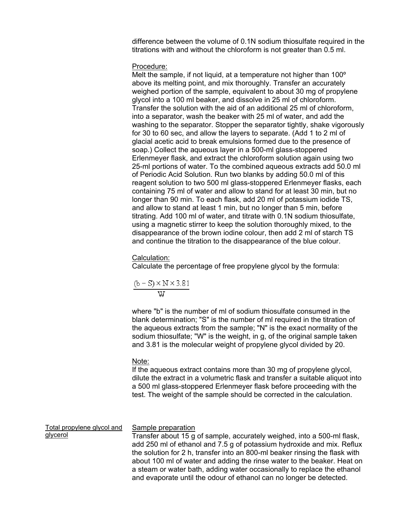difference between the volume of 0.1N sodium thiosulfate required in the titrations with and without the chloroform is not greater than 0.5 ml.

#### Procedure:

Melt the sample, if not liquid, at a temperature not higher than 100<sup>°</sup> above its melting point, and mix thoroughly. Transfer an accurately weighed portion of the sample, equivalent to about 30 mg of propylene glycol into a 100 ml beaker, and dissolve in 25 ml of chloroform. Transfer the solution with the aid of an additional 25 ml of chloroform, into a separator, wash the beaker with 25 ml of water, and add the washing to the separator. Stopper the separator tightly, shake vigorously for 30 to 60 sec, and allow the layers to separate. (Add 1 to 2 ml of glacial acetic acid to break emulsions formed due to the presence of soap.) Collect the aqueous layer in a 500-ml glass-stoppered Erlenmeyer flask, and extract the chloroform solution again using two 25-ml portions of water. To the combined aqueous extracts add 50.0 ml of Periodic Acid Solution. Run two blanks by adding 50.0 ml of this reagent solution to two 500 ml glass-stoppered Erlenmeyer flasks, each containing 75 ml of water and allow to stand for at least 30 min, but no longer than 90 min. To each flask, add 20 ml of potassium iodide TS, and allow to stand at least 1 min, but no longer than 5 min, before titrating. Add 100 ml of water, and titrate with 0.1N sodium thiosulfate, using a magnetic stirrer to keep the solution thoroughly mixed, to the disappearance of the brown iodine colour, then add 2 ml of starch TS and continue the titration to the disappearance of the blue colour.

## Calculation:

Calculate the percentage of free propylene glycol by the formula:

$$
\frac{(b-S) \times N \times 3.81}{W}
$$

where "b" is the number of ml of sodium thiosulfate consumed in the blank determination; "S" is the number of ml required in the titration of the aqueous extracts from the sample; "N" is the exact normality of the sodium thiosulfate; "W" is the weight, in g, of the original sample taken and 3.81 is the molecular weight of propylene glycol divided by 20.

## Note:

If the aqueous extract contains more than 30 mg of propylene glycol, dilute the extract in a volumetric flask and transfer a suitable aliquot into a 500 ml glass-stoppered Erlenmeyer flask before proceeding with the test. The weight of the sample should be corrected in the calculation.

Total propylene glycol and glycerol

## Sample preparation

Transfer about 15 g of sample, accurately weighed, into a 500-ml flask, add 250 ml of ethanol and 7.5 g of potassium hydroxide and mix. Reflux the solution for 2 h, transfer into an 800-ml beaker rinsing the flask with about 100 ml of water and adding the rinse water to the beaker. Heat on a steam or water bath, adding water occasionally to replace the ethanol and evaporate until the odour of ethanol can no longer be detected.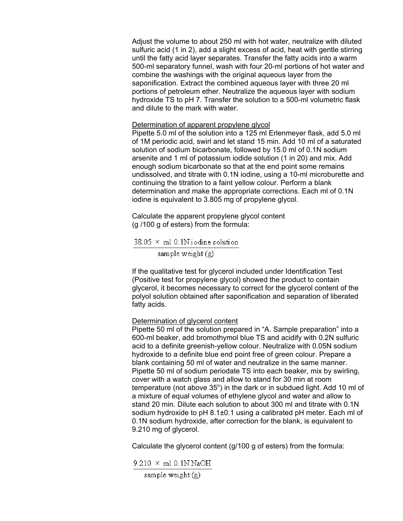Adjust the volume to about 250 ml with hot water, neutralize with diluted sulfuric acid (1 in 2), add a slight excess of acid, heat with gentle stirring until the fatty acid layer separates. Transfer the fatty acids into a warm 500-ml separatory funnel, wash with four 20-ml portions of hot water and combine the washings with the original aqueous layer from the saponification. Extract the combined aqueous layer with three 20 ml portions of petroleum ether. Neutralize the aqueous layer with sodium hydroxide TS to pH 7. Transfer the solution to a 500-ml volumetric flask and dilute to the mark with water.

## Determination of apparent propylene glycol

Pipette 5.0 ml of the solution into a 125 ml Erlenmeyer flask, add 5.0 ml of 1M periodic acid, swirl and let stand 15 min. Add 10 ml of a saturated solution of sodium bicarbonate, followed by 15.0 ml of 0.1N sodium arsenite and 1 ml of potassium iodide solution (1 in 20) and mix. Add enough sodium bicarbonate so that at the end point some remains undissolved, and titrate with 0.1N iodine, using a 10-ml microburette and continuing the titration to a faint yellow colour. Perform a blank determination and make the appropriate corrections. Each ml of 0.1N iodine is equivalent to 3.805 mg of propylene glycol.

Calculate the apparent propylene glycol content (g /100 g of esters) from the formula:

 $38.05 \times$  ml 0.1N iodine solution

sample weight  $(g)$ 

If the qualitative test for glycerol included under Identification Test (Positive test for propylene glycol) showed the product to contain glycerol, it becomes necessary to correct for the glycerol content of the polyol solution obtained after saponification and separation of liberated fatty acids.

## Determination of glycerol content

Pipette 50 ml of the solution prepared in "A. Sample preparation" into a 600-ml beaker, add bromothymol blue TS and acidify with 0.2N sulfuric acid to a definite greenish-yellow colour. Neutralize with 0.05N sodium hydroxide to a definite blue end point free of green colour. Prepare a blank containing 50 ml of water and neutralize in the same manner. Pipette 50 ml of sodium periodate TS into each beaker, mix by swirling, cover with a watch glass and allow to stand for 30 min at room temperature (not above  $35^{\circ}$ ) in the dark or in subdued light. Add 10 ml of a mixture of equal volumes of ethylene glycol and water and allow to stand 20 min. Dilute each solution to about 300 ml and titrate with 0.1N sodium hydroxide to pH 8.1±0.1 using a calibrated pH meter. Each ml of 0.1N sodium hydroxide, after correction for the blank, is equivalent to 9.210 mg of glycerol.

Calculate the glycerol content (g/100 g of esters) from the formula:

## $9.210 \times ml$  0.1N NaOH

sample weight  $(g)$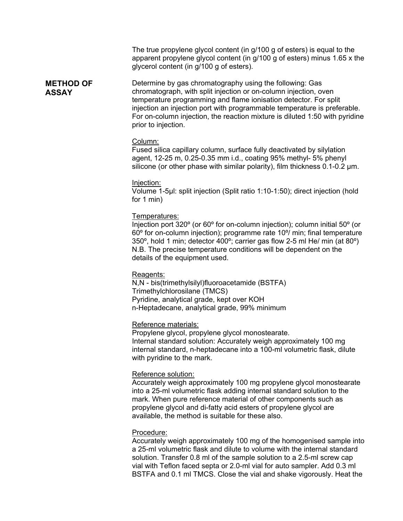The true propylene glycol content (in g/100 g of esters) is equal to the apparent propylene glycol content (in g/100 g of esters) minus 1.65 x the glycerol content (in g/100 g of esters).

**METHOD OF**  Determine by gas chromatography using the following: Gas chromatograph, with split injection or on-column injection, oven temperature programming and flame ionisation detector. For split injection an injection port with programmable temperature is preferable. For on-column injection, the reaction mixture is diluted 1:50 with pyridine prior to injection.

#### Column:

**ASSAY** 

Fused silica capillary column, surface fully deactivated by silylation agent, 12-25 m, 0.25-0.35 mm i.d., coating 95% methyl- 5% phenyl silicone (or other phase with similar polarity), film thickness 0.1-0.2  $\mu$ m.

#### Injection:

Volume 1-5µl: split injection (Split ratio 1:10-1:50); direct injection (hold for 1 min)

#### Temperatures:

Injection port 320º (or 60º for on-column injection); column initial 50º (or 60º for on-column injection); programme rate 10º/ min; final temperature 350º, hold 1 min; detector 400º; carrier gas flow 2-5 ml He/ min (at 80º) N.B. The precise temperature conditions will be dependent on the details of the equipment used.

## Reagents:

N,N - bis(trimethylsilyl)fluoroacetamide (BSTFA) Trimethylchlorosilane (TMCS) Pyridine, analytical grade, kept over KOH n-Heptadecane, analytical grade, 99% minimum

#### Reference materials:

Propylene glycol, propylene glycol monostearate. Internal standard solution: Accurately weigh approximately 100 mg internal standard, n-heptadecane into a 100-ml volumetric flask, dilute with pyridine to the mark.

#### Reference solution:

Accurately weigh approximately 100 mg propylene glycol monostearate into a 25-ml volumetric flask adding internal standard solution to the mark. When pure reference material of other components such as propylene glycol and di-fatty acid esters of propylene glycol are available, the method is suitable for these also.

#### Procedure:

Accurately weigh approximately 100 mg of the homogenised sample into a 25-ml volumetric flask and dilute to volume with the internal standard solution. Transfer 0.8 ml of the sample solution to a 2.5-ml screw cap vial with Teflon faced septa or 2.0-ml vial for auto sampler. Add 0.3 ml BSTFA and 0.1 ml TMCS. Close the vial and shake vigorously. Heat the